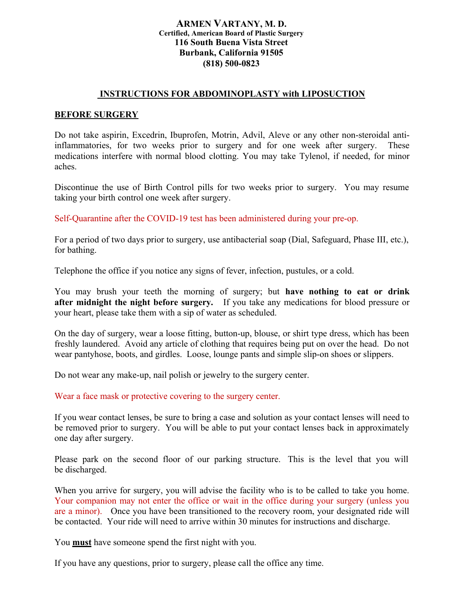## **ARMEN VARTANY, M. D. Certified, American Board of Plastic Surgery 116 South Buena Vista Street Burbank, California 91505 (818) 500-0823**

## **INSTRUCTIONS FOR ABDOMINOPLASTY with LIPOSUCTION**

## **BEFORE SURGERY**

Do not take aspirin, Excedrin, Ibuprofen, Motrin, Advil, Aleve or any other non-steroidal antiinflammatories, for two weeks prior to surgery and for one week after surgery. These medications interfere with normal blood clotting. You may take Tylenol, if needed, for minor aches.

Discontinue the use of Birth Control pills for two weeks prior to surgery. You may resume taking your birth control one week after surgery.

Self-Quarantine after the COVID-19 test has been administered during your pre-op.

For a period of two days prior to surgery, use antibacterial soap (Dial, Safeguard, Phase III, etc.), for bathing.

Telephone the office if you notice any signs of fever, infection, pustules, or a cold.

You may brush your teeth the morning of surgery; but **have nothing to eat or drink after midnight the night before surgery.** If you take any medications for blood pressure or your heart, please take them with a sip of water as scheduled.

On the day of surgery, wear a loose fitting, button-up, blouse, or shirt type dress, which has been freshly laundered. Avoid any article of clothing that requires being put on over the head. Do not wear pantyhose, boots, and girdles. Loose, lounge pants and simple slip-on shoes or slippers.

Do not wear any make-up, nail polish or jewelry to the surgery center.

Wear a face mask or protective covering to the surgery center.

If you wear contact lenses, be sure to bring a case and solution as your contact lenses will need to be removed prior to surgery. You will be able to put your contact lenses back in approximately one day after surgery.

Please park on the second floor of our parking structure. This is the level that you will be discharged.

When you arrive for surgery, you will advise the facility who is to be called to take you home. Your companion may not enter the office or wait in the office during your surgery (unless you are a minor). Once you have been transitioned to the recovery room, your designated ride will be contacted. Your ride will need to arrive within 30 minutes for instructions and discharge.

You **must** have someone spend the first night with you.

If you have any questions, prior to surgery, please call the office any time.